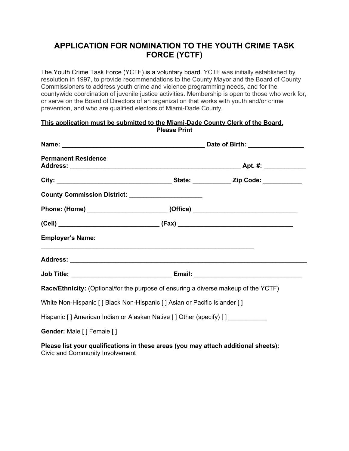## **APPLICATION FOR NOMINATION TO THE YOUTH CRIME TASK FORCE (YCTF)**

The Youth Crime Task Force (YCTF) is a voluntary board. YCTF was initially established by resolution in 1997, to provide recommendations to the County Mayor and the Board of County Commissioners to address youth crime and violence programming needs, and for the countywide coordination of juvenile justice activities. Membership is open to those who work for, or serve on the Board of Directors of an organization that works with youth and/or crime prevention, and who are qualified electors of Miami-Dade County.

## **This application must be submitted to the Miami-Dade County Clerk of the Board. Please Print**

| <b>Permanent Residence</b>                                                                 |  |  |
|--------------------------------------------------------------------------------------------|--|--|
|                                                                                            |  |  |
| County Commission District: __________________________                                     |  |  |
| Phone: (Home) ________________________________(Office) _________________________           |  |  |
|                                                                                            |  |  |
| <b>Employer's Name:</b>                                                                    |  |  |
|                                                                                            |  |  |
|                                                                                            |  |  |
| <b>Race/Ethnicity:</b> (Optional/for the purpose of ensuring a diverse makeup of the YCTF) |  |  |
| White Non-Hispanic [] Black Non-Hispanic [] Asian or Pacific Islander []                   |  |  |
| Hispanic [] American Indian or Alaskan Native [] Other (specify) [] ____________           |  |  |
| Gender: Male [] Female []                                                                  |  |  |

**Please list your qualifications in these areas (you may attach additional sheets):** Civic and Community Involvement